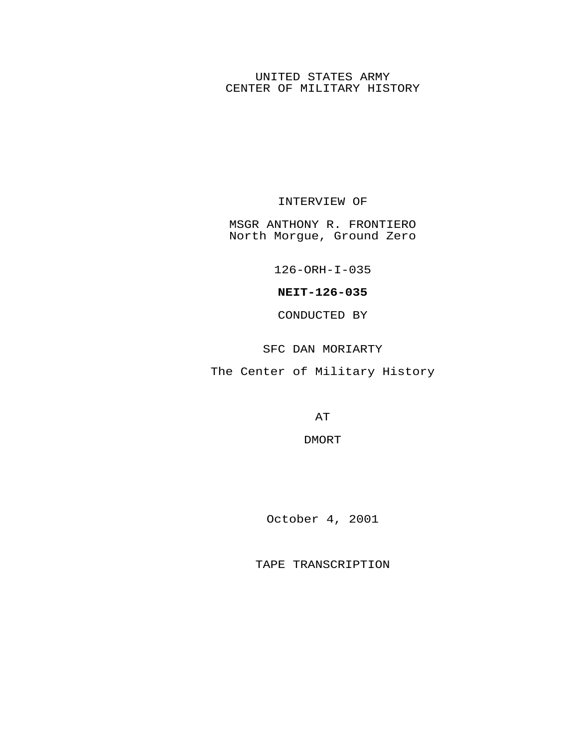## UNITED STATES ARMY CENTER OF MILITARY HISTORY

## INTERVIEW OF

MSGR ANTHONY R. FRONTIERO North Morgue, Ground Zero

126-ORH-I-035

## **NEIT-126-035**

CONDUCTED BY

SFC DAN MORIARTY

The Center of Military History

AT

DMORT

October 4, 2001

TAPE TRANSCRIPTION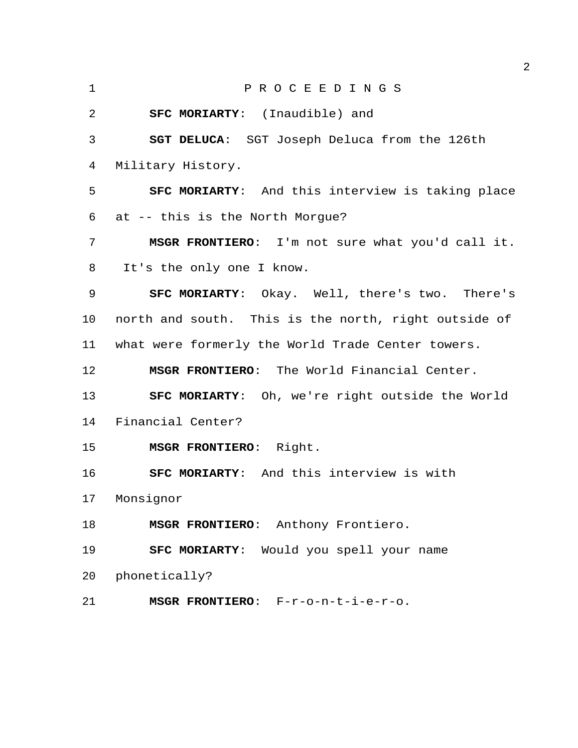P R O C E E D I N G S **SFC MORIARTY**: (Inaudible) and **SGT DELUCA**: SGT Joseph Deluca from the 126th Military History. **SFC MORIARTY**: And this interview is taking place at -- this is the North Morgue? **MSGR FRONTIERO**: I'm not sure what you'd call it. It's the only one I know. **SFC MORIARTY**: Okay. Well, there's two. There's north and south. This is the north, right outside of what were formerly the World Trade Center towers. **MSGR FRONTIERO**: The World Financial Center. **SFC MORIARTY**: Oh, we're right outside the World Financial Center? **MSGR FRONTIERO**: Right. **SFC MORIARTY**: And this interview is with Monsignor **MSGR FRONTIERO**: Anthony Frontiero. **SFC MORIARTY**: Would you spell your name phonetically? **MSGR FRONTIERO**: F-r-o-n-t-i-e-r-o.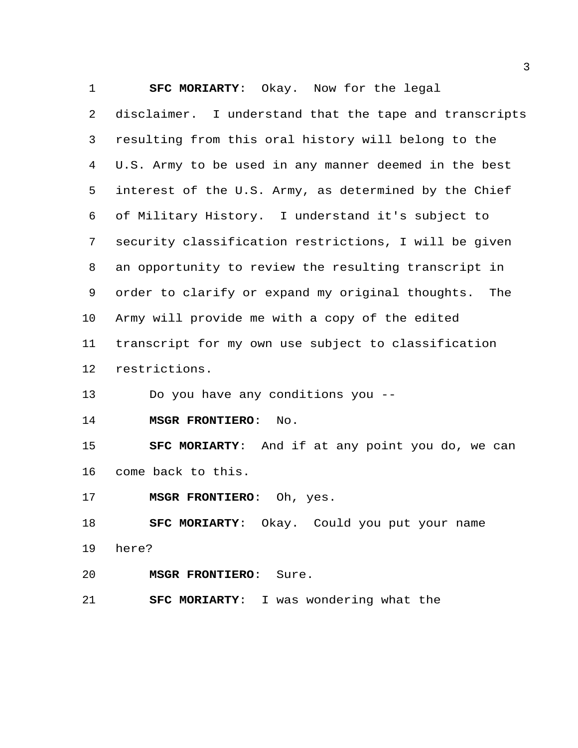**SFC MORIARTY**: Okay. Now for the legal

 disclaimer. I understand that the tape and transcripts resulting from this oral history will belong to the U.S. Army to be used in any manner deemed in the best interest of the U.S. Army, as determined by the Chief of Military History. I understand it's subject to security classification restrictions, I will be given an opportunity to review the resulting transcript in order to clarify or expand my original thoughts. The Army will provide me with a copy of the edited transcript for my own use subject to classification restrictions.

Do you have any conditions you --

**MSGR FRONTIERO**: No.

 **SFC MORIARTY**: And if at any point you do, we can come back to this.

**MSGR FRONTIERO**: Oh, yes.

**SFC MORIARTY**: Okay. Could you put your name

here?

**MSGR FRONTIERO**: Sure.

**SFC MORIARTY**: I was wondering what the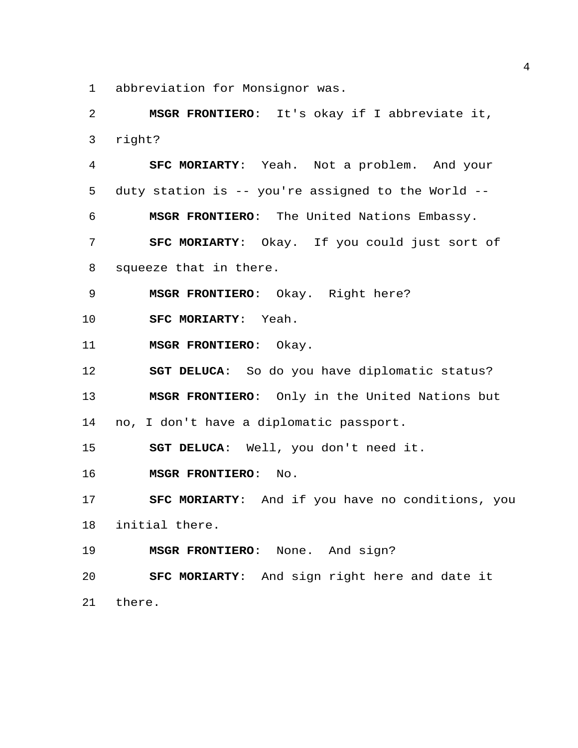abbreviation for Monsignor was.

 **MSGR FRONTIERO**: It's okay if I abbreviate it, right?

 **SFC MORIARTY**: Yeah. Not a problem. And your duty station is -- you're assigned to the World -- **MSGR FRONTIERO**: The United Nations Embassy. **SFC MORIARTY**: Okay. If you could just sort of squeeze that in there.

**MSGR FRONTIERO**: Okay. Right here?

**SFC MORIARTY**: Yeah.

**MSGR FRONTIERO**: Okay.

**SGT DELUCA**: So do you have diplomatic status?

**MSGR FRONTIERO**: Only in the United Nations but

no, I don't have a diplomatic passport.

**SGT DELUCA**: Well, you don't need it.

**MSGR FRONTIERO**: No.

 **SFC MORIARTY**: And if you have no conditions, you initial there.

**MSGR FRONTIERO**: None. And sign?

 **SFC MORIARTY**: And sign right here and date it there.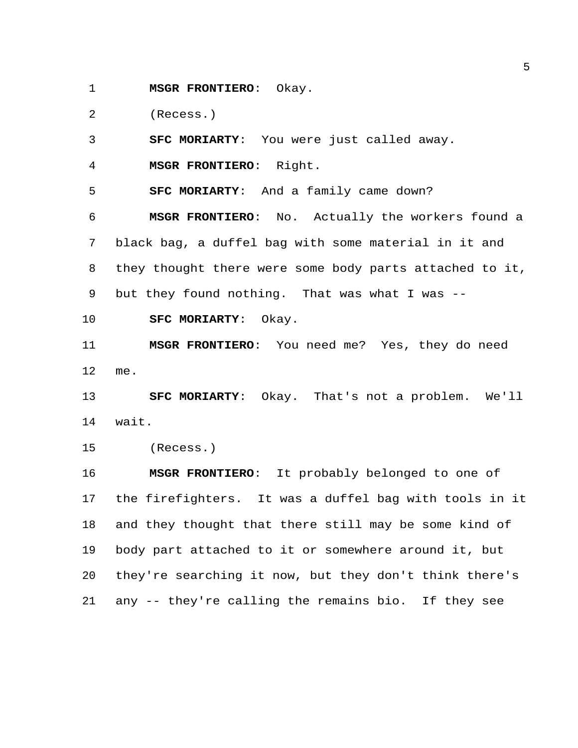**MSGR FRONTIERO**: Okay.

(Recess.)

**SFC MORIARTY**: You were just called away.

**MSGR FRONTIERO**: Right.

**SFC MORIARTY**: And a family came down?

 **MSGR FRONTIERO**: No. Actually the workers found a black bag, a duffel bag with some material in it and they thought there were some body parts attached to it, but they found nothing. That was what I was --

**SFC MORIARTY**: Okay.

 **MSGR FRONTIERO**: You need me? Yes, they do need me.

 **SFC MORIARTY**: Okay. That's not a problem. We'll wait.

(Recess.)

 **MSGR FRONTIERO**: It probably belonged to one of the firefighters. It was a duffel bag with tools in it and they thought that there still may be some kind of body part attached to it or somewhere around it, but they're searching it now, but they don't think there's any -- they're calling the remains bio. If they see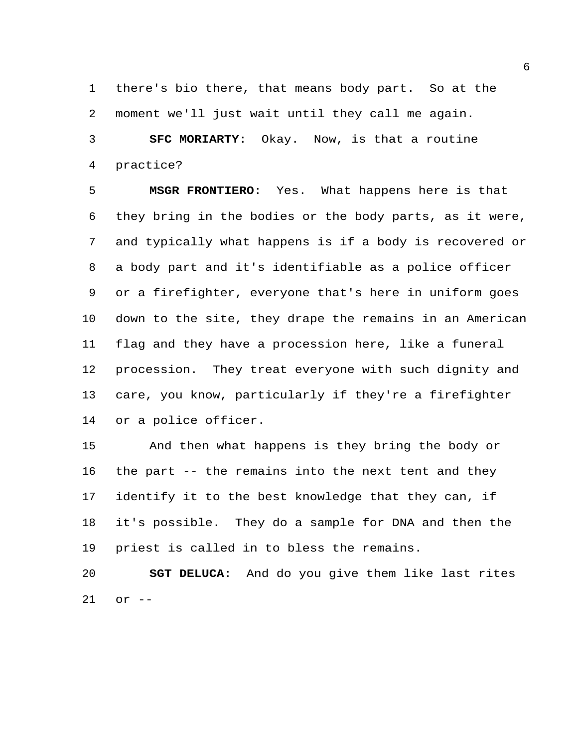there's bio there, that means body part. So at the moment we'll just wait until they call me again. **SFC MORIARTY**: Okay. Now, is that a routine

practice?

 **MSGR FRONTIERO**: Yes. What happens here is that they bring in the bodies or the body parts, as it were, and typically what happens is if a body is recovered or a body part and it's identifiable as a police officer or a firefighter, everyone that's here in uniform goes down to the site, they drape the remains in an American flag and they have a procession here, like a funeral procession. They treat everyone with such dignity and care, you know, particularly if they're a firefighter or a police officer.

 And then what happens is they bring the body or the part -- the remains into the next tent and they identify it to the best knowledge that they can, if it's possible. They do a sample for DNA and then the priest is called in to bless the remains.

 **SGT DELUCA**: And do you give them like last rites or --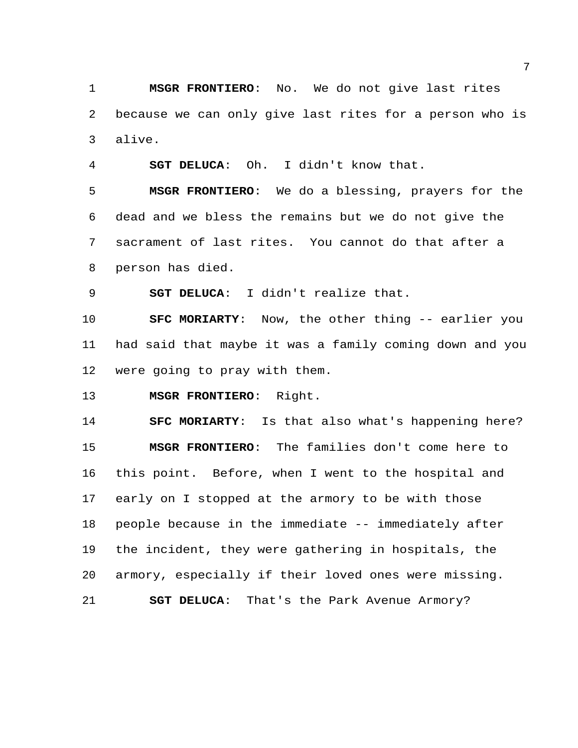**MSGR FRONTIERO**: No. We do not give last rites because we can only give last rites for a person who is alive.

**SGT DELUCA**: Oh. I didn't know that.

 **MSGR FRONTIERO**: We do a blessing, prayers for the dead and we bless the remains but we do not give the sacrament of last rites. You cannot do that after a person has died.

**SGT DELUCA**: I didn't realize that.

 **SFC MORIARTY**: Now, the other thing -- earlier you had said that maybe it was a family coming down and you were going to pray with them.

**MSGR FRONTIERO**: Right.

 **SFC MORIARTY**: Is that also what's happening here? **MSGR FRONTIERO**: The families don't come here to this point. Before, when I went to the hospital and early on I stopped at the armory to be with those people because in the immediate -- immediately after the incident, they were gathering in hospitals, the armory, especially if their loved ones were missing. **SGT DELUCA**: That's the Park Avenue Armory?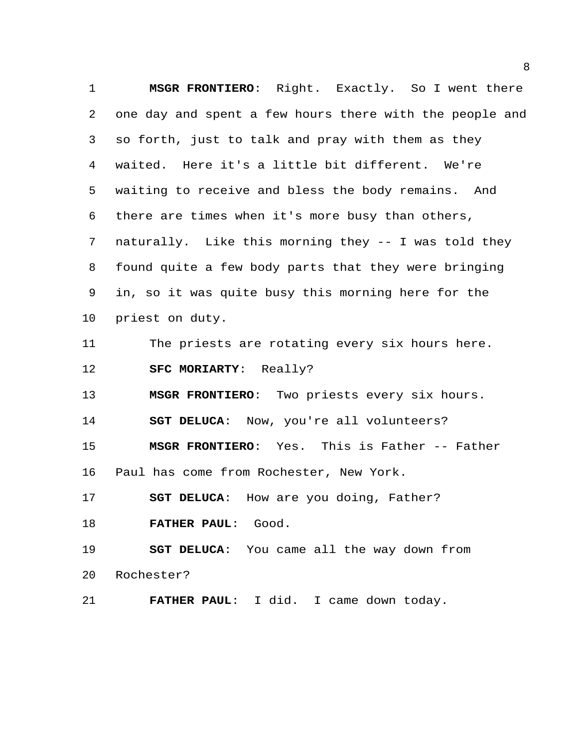**MSGR FRONTIERO**: Right. Exactly. So I went there one day and spent a few hours there with the people and so forth, just to talk and pray with them as they waited. Here it's a little bit different. We're waiting to receive and bless the body remains. And there are times when it's more busy than others, naturally. Like this morning they -- I was told they found quite a few body parts that they were bringing in, so it was quite busy this morning here for the priest on duty. The priests are rotating every six hours here. **SFC MORIARTY**: Really? **MSGR FRONTIERO**: Two priests every six hours. **SGT DELUCA**: Now, you're all volunteers? **MSGR FRONTIERO**: Yes. This is Father -- Father Paul has come from Rochester, New York. **SGT DELUCA**: How are you doing, Father? **FATHER PAUL**: Good. **SGT DELUCA**: You came all the way down from Rochester?

**FATHER PAUL**: I did. I came down today.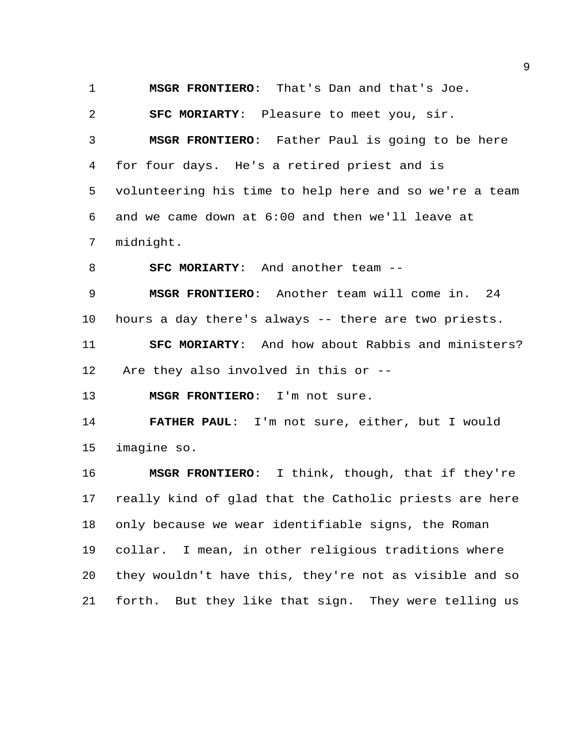**MSGR FRONTIERO**: That's Dan and that's Joe.

**SFC MORIARTY**: Pleasure to meet you, sir.

 **MSGR FRONTIERO**: Father Paul is going to be here for four days. He's a retired priest and is volunteering his time to help here and so we're a team and we came down at 6:00 and then we'll leave at midnight.

**SFC MORIARTY**: And another team --

 **MSGR FRONTIERO**: Another team will come in. 24 hours a day there's always -- there are two priests.

 **SFC MORIARTY**: And how about Rabbis and ministers? Are they also involved in this or --

**MSGR FRONTIERO**: I'm not sure.

 **FATHER PAUL**: I'm not sure, either, but I would imagine so.

 **MSGR FRONTIERO**: I think, though, that if they're really kind of glad that the Catholic priests are here only because we wear identifiable signs, the Roman collar. I mean, in other religious traditions where they wouldn't have this, they're not as visible and so forth. But they like that sign. They were telling us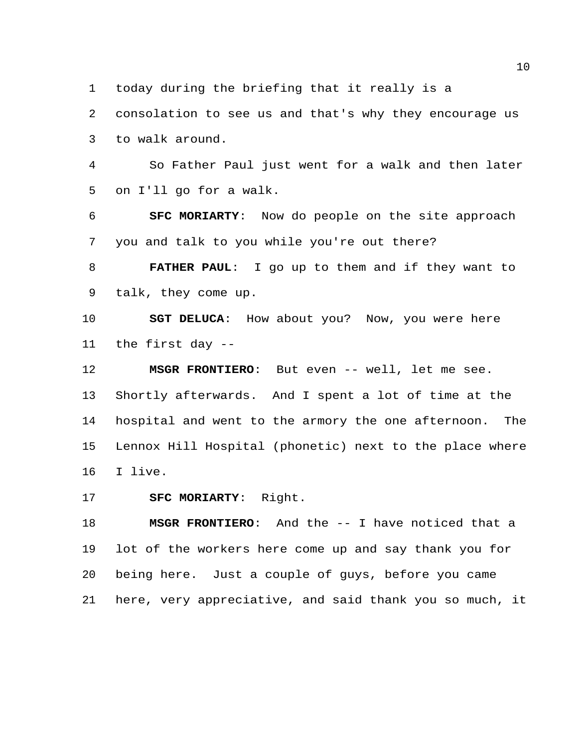today during the briefing that it really is a

 consolation to see us and that's why they encourage us to walk around.

 So Father Paul just went for a walk and then later on I'll go for a walk.

 **SFC MORIARTY**: Now do people on the site approach you and talk to you while you're out there?

 **FATHER PAUL**: I go up to them and if they want to talk, they come up.

 **SGT DELUCA**: How about you? Now, you were here the first day --

**MSGR FRONTIERO**: But even -- well, let me see.

 Shortly afterwards. And I spent a lot of time at the hospital and went to the armory the one afternoon. The Lennox Hill Hospital (phonetic) next to the place where I live.

**SFC MORIARTY**: Right.

 **MSGR FRONTIERO**: And the -- I have noticed that a lot of the workers here come up and say thank you for being here. Just a couple of guys, before you came here, very appreciative, and said thank you so much, it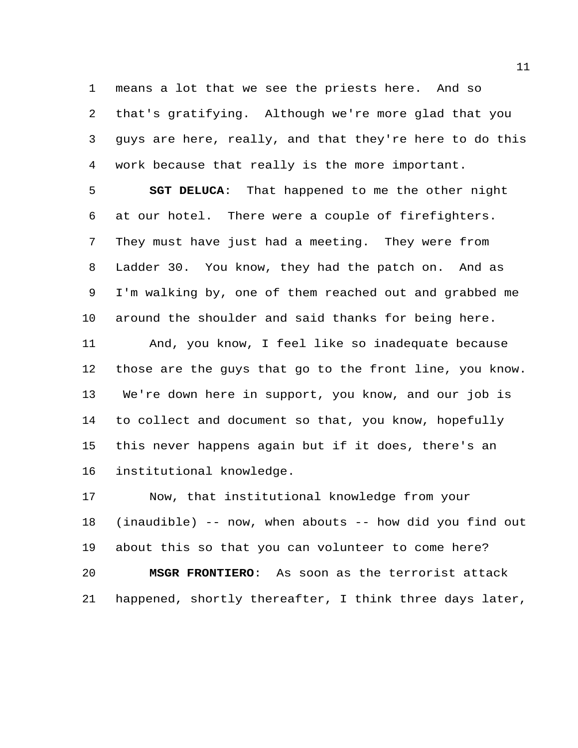means a lot that we see the priests here. And so that's gratifying. Although we're more glad that you guys are here, really, and that they're here to do this work because that really is the more important.

 **SGT DELUCA**: That happened to me the other night at our hotel. There were a couple of firefighters. They must have just had a meeting. They were from Ladder 30. You know, they had the patch on. And as I'm walking by, one of them reached out and grabbed me around the shoulder and said thanks for being here.

 And, you know, I feel like so inadequate because those are the guys that go to the front line, you know. We're down here in support, you know, and our job is to collect and document so that, you know, hopefully this never happens again but if it does, there's an institutional knowledge.

 Now, that institutional knowledge from your (inaudible) -- now, when abouts -- how did you find out about this so that you can volunteer to come here? **MSGR FRONTIERO**: As soon as the terrorist attack happened, shortly thereafter, I think three days later,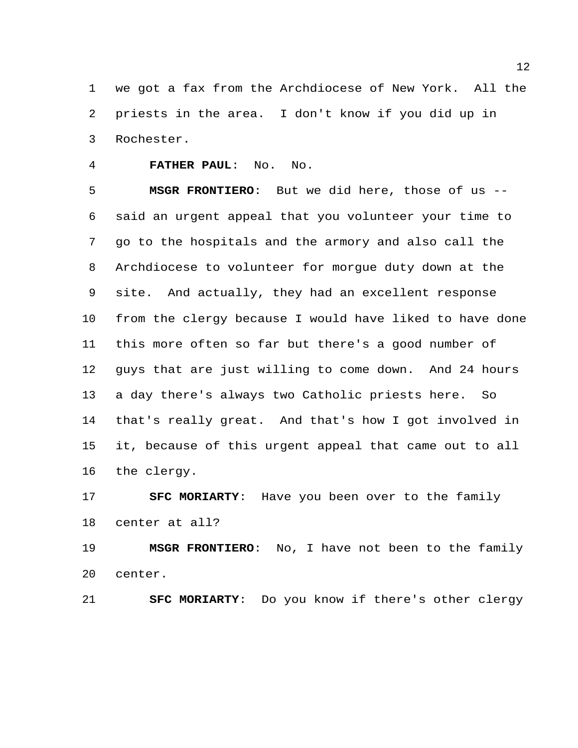we got a fax from the Archdiocese of New York. All the priests in the area. I don't know if you did up in Rochester.

**FATHER PAUL**: No. No.

 **MSGR FRONTIERO**: But we did here, those of us -- said an urgent appeal that you volunteer your time to go to the hospitals and the armory and also call the Archdiocese to volunteer for morgue duty down at the site. And actually, they had an excellent response from the clergy because I would have liked to have done this more often so far but there's a good number of guys that are just willing to come down. And 24 hours a day there's always two Catholic priests here. So that's really great. And that's how I got involved in it, because of this urgent appeal that came out to all the clergy.

 **SFC MORIARTY**: Have you been over to the family center at all?

 **MSGR FRONTIERO**: No, I have not been to the family center.

**SFC MORIARTY**: Do you know if there's other clergy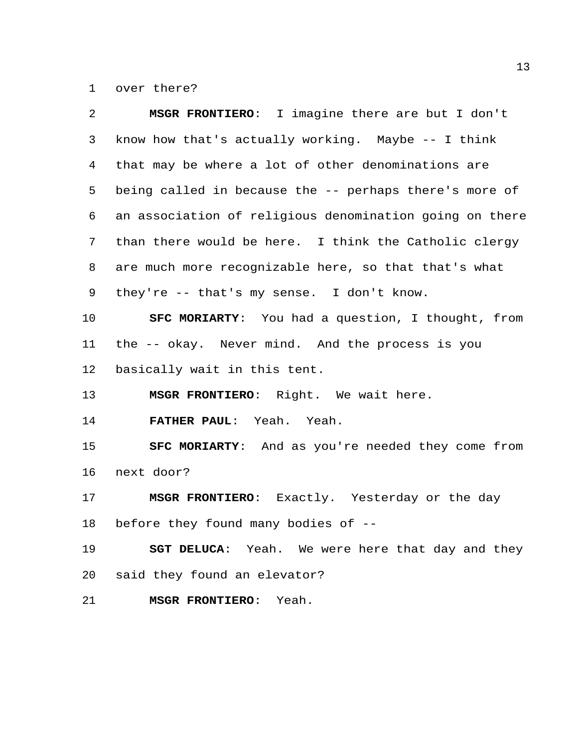over there?

| 2  | MSGR FRONTIERO: I imagine there are but I don't          |
|----|----------------------------------------------------------|
| 3  | know how that's actually working. Maybe -- I think       |
| 4  | that may be where a lot of other denominations are       |
| 5  | being called in because the -- perhaps there's more of   |
| 6  | an association of religious denomination going on there  |
| 7  | than there would be here. I think the Catholic clergy    |
| 8  | are much more recognizable here, so that that's what     |
| 9  | they're -- that's my sense. I don't know.                |
| 10 | SFC MORIARTY: You had a question, I thought, from        |
| 11 | the -- okay. Never mind. And the process is you          |
| 12 | basically wait in this tent.                             |
| 13 | MSGR FRONTIERO: Right. We wait here.                     |
| 14 | FATHER PAUL: Yeah. Yeah.                                 |
| 15 | <b>SFC MORIARTY:</b> And as you're needed they come from |
| 16 | next door?                                               |
| 17 | MSGR FRONTIERO: Exactly. Yesterday or the day            |
| 18 | before they found many bodies of --                      |
| 19 | SGT DELUCA: Yeah. We were here that day and they         |
| 20 | said they found an elevator?                             |
| 21 | <b>MSGR FRONTIERO:</b><br>Yeah.                          |
|    |                                                          |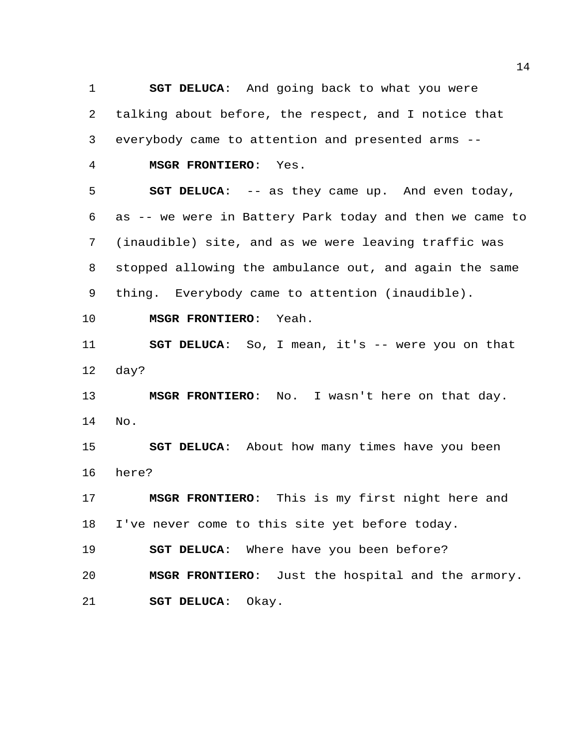**SGT DELUCA**: And going back to what you were talking about before, the respect, and I notice that everybody came to attention and presented arms --

**MSGR FRONTIERO**: Yes.

 **SGT DELUCA**: -- as they came up. And even today, as -- we were in Battery Park today and then we came to (inaudible) site, and as we were leaving traffic was stopped allowing the ambulance out, and again the same thing. Everybody came to attention (inaudible).

**MSGR FRONTIERO**: Yeah.

 **SGT DELUCA**: So, I mean, it's -- were you on that day?

 **MSGR FRONTIERO**: No. I wasn't here on that day. No.

 **SGT DELUCA**: About how many times have you been here?

 **MSGR FRONTIERO**: This is my first night here and I've never come to this site yet before today.

**SGT DELUCA**: Where have you been before?

 **MSGR FRONTIERO**: Just the hospital and the armory. **SGT DELUCA**: Okay.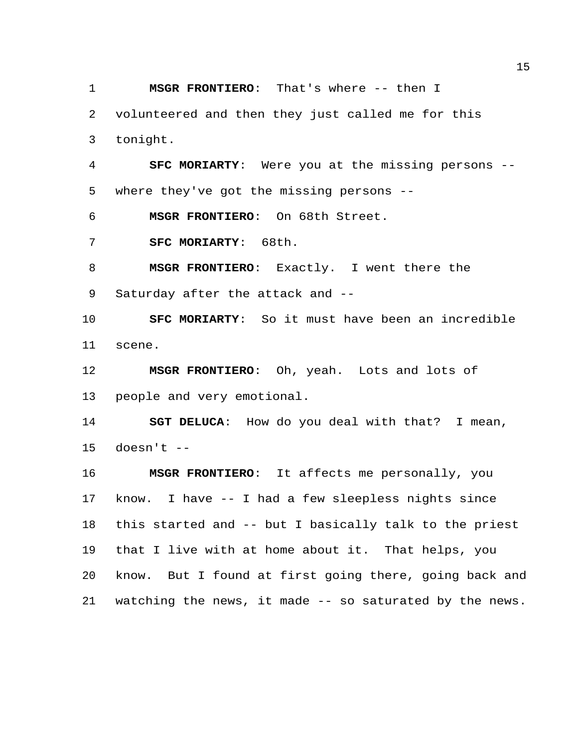**MSGR FRONTIERO**: That's where -- then I

 volunteered and then they just called me for this tonight.

 **SFC MORIARTY**: Were you at the missing persons -- where they've got the missing persons --

**MSGR FRONTIERO**: On 68th Street.

**SFC MORIARTY**: 68th.

 **MSGR FRONTIERO**: Exactly. I went there the Saturday after the attack and --

 **SFC MORIARTY**: So it must have been an incredible scene.

 **MSGR FRONTIERO**: Oh, yeah. Lots and lots of people and very emotional.

 **SGT DELUCA**: How do you deal with that? I mean, doesn't  $-$ 

 **MSGR FRONTIERO**: It affects me personally, you know. I have -- I had a few sleepless nights since this started and -- but I basically talk to the priest that I live with at home about it. That helps, you know. But I found at first going there, going back and watching the news, it made -- so saturated by the news.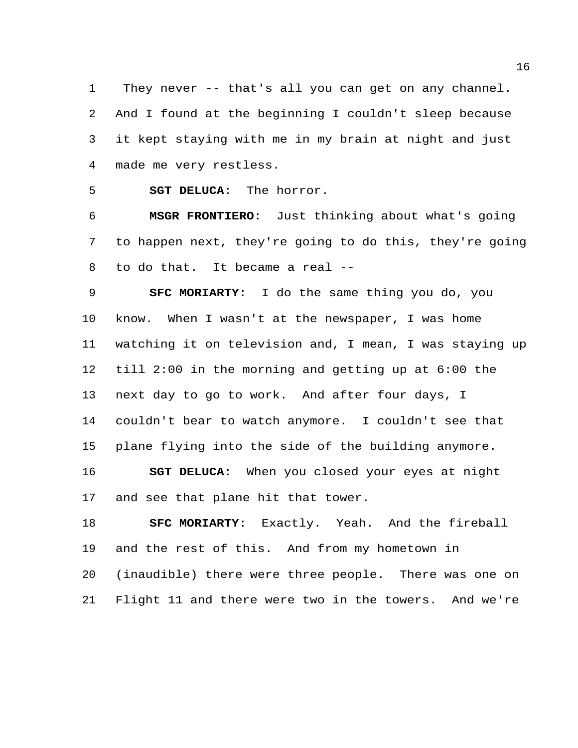They never -- that's all you can get on any channel. And I found at the beginning I couldn't sleep because it kept staying with me in my brain at night and just made me very restless.

**SGT DELUCA**: The horror.

 **MSGR FRONTIERO**: Just thinking about what's going to happen next, they're going to do this, they're going to do that. It became a real --

 **SFC MORIARTY**: I do the same thing you do, you know. When I wasn't at the newspaper, I was home watching it on television and, I mean, I was staying up till 2:00 in the morning and getting up at 6:00 the next day to go to work. And after four days, I couldn't bear to watch anymore. I couldn't see that plane flying into the side of the building anymore. **SGT DELUCA**: When you closed your eyes at night and see that plane hit that tower.

 **SFC MORIARTY**: Exactly. Yeah. And the fireball and the rest of this. And from my hometown in (inaudible) there were three people. There was one on Flight 11 and there were two in the towers. And we're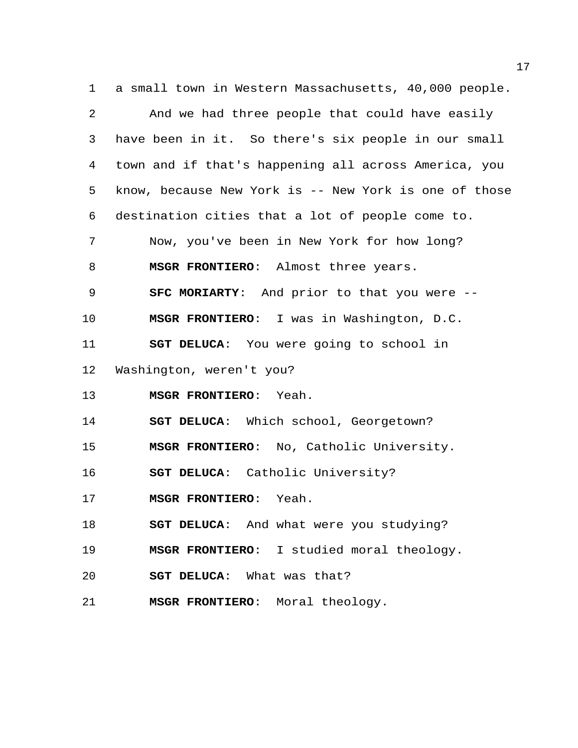a small town in Western Massachusetts, 40,000 people. And we had three people that could have easily have been in it. So there's six people in our small town and if that's happening all across America, you know, because New York is -- New York is one of those destination cities that a lot of people come to. Now, you've been in New York for how long? **MSGR FRONTIERO**: Almost three years. **SFC MORIARTY**: And prior to that you were -- **MSGR FRONTIERO**: I was in Washington, D.C. **SGT DELUCA**: You were going to school in Washington, weren't you? **MSGR FRONTIERO**: Yeah. **SGT DELUCA**: Which school, Georgetown? **MSGR FRONTIERO**: No, Catholic University. **SGT DELUCA**: Catholic University? **MSGR FRONTIERO**: Yeah. **SGT DELUCA**: And what were you studying? **MSGR FRONTIERO**: I studied moral theology. **SGT DELUCA**: What was that? **MSGR FRONTIERO**: Moral theology.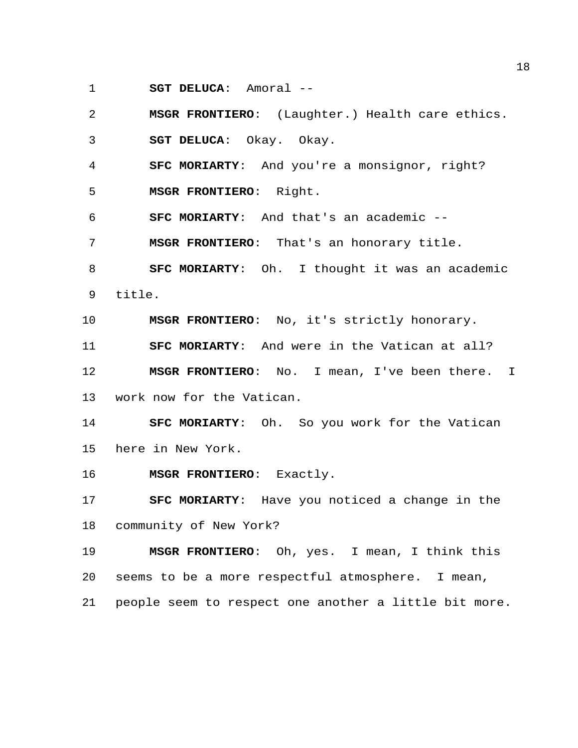**SGT DELUCA**: Amoral --

 **MSGR FRONTIERO**: (Laughter.) Health care ethics. **SGT DELUCA**: Okay. Okay. **SFC MORIARTY**: And you're a monsignor, right? **MSGR FRONTIERO**: Right. **SFC MORIARTY**: And that's an academic -- **MSGR FRONTIERO**: That's an honorary title. **SFC MORIARTY**: Oh. I thought it was an academic title. **MSGR FRONTIERO**: No, it's strictly honorary. **SFC MORIARTY**: And were in the Vatican at all?

 **MSGR FRONTIERO**: No. I mean, I've been there. I work now for the Vatican.

 **SFC MORIARTY**: Oh. So you work for the Vatican here in New York.

**MSGR FRONTIERO**: Exactly.

 **SFC MORIARTY**: Have you noticed a change in the community of New York?

 **MSGR FRONTIERO**: Oh, yes. I mean, I think this seems to be a more respectful atmosphere. I mean, people seem to respect one another a little bit more.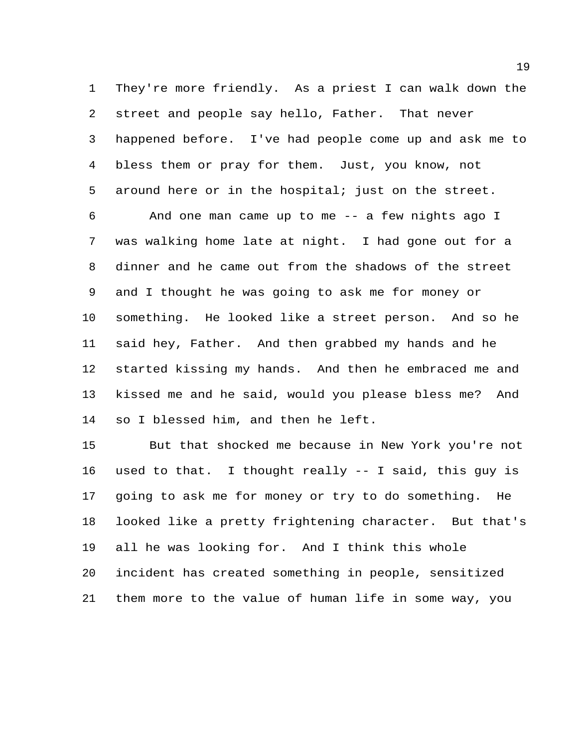They're more friendly. As a priest I can walk down the street and people say hello, Father. That never happened before. I've had people come up and ask me to bless them or pray for them. Just, you know, not around here or in the hospital; just on the street.

 And one man came up to me -- a few nights ago I was walking home late at night. I had gone out for a dinner and he came out from the shadows of the street and I thought he was going to ask me for money or something. He looked like a street person. And so he said hey, Father. And then grabbed my hands and he started kissing my hands. And then he embraced me and kissed me and he said, would you please bless me? And so I blessed him, and then he left.

 But that shocked me because in New York you're not used to that. I thought really -- I said, this guy is going to ask me for money or try to do something. He looked like a pretty frightening character. But that's all he was looking for. And I think this whole incident has created something in people, sensitized them more to the value of human life in some way, you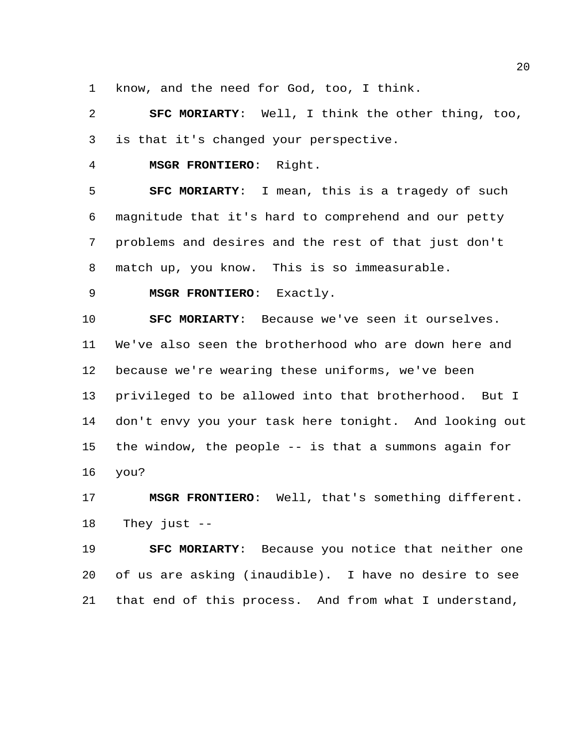know, and the need for God, too, I think.

 **SFC MORIARTY**: Well, I think the other thing, too, is that it's changed your perspective.

**MSGR FRONTIERO**: Right.

 **SFC MORIARTY**: I mean, this is a tragedy of such magnitude that it's hard to comprehend and our petty problems and desires and the rest of that just don't match up, you know. This is so immeasurable.

**MSGR FRONTIERO**: Exactly.

 **SFC MORIARTY**: Because we've seen it ourselves. We've also seen the brotherhood who are down here and because we're wearing these uniforms, we've been privileged to be allowed into that brotherhood. But I don't envy you your task here tonight. And looking out the window, the people -- is that a summons again for you?

 **MSGR FRONTIERO**: Well, that's something different. They just --

 **SFC MORIARTY**: Because you notice that neither one of us are asking (inaudible). I have no desire to see that end of this process. And from what I understand,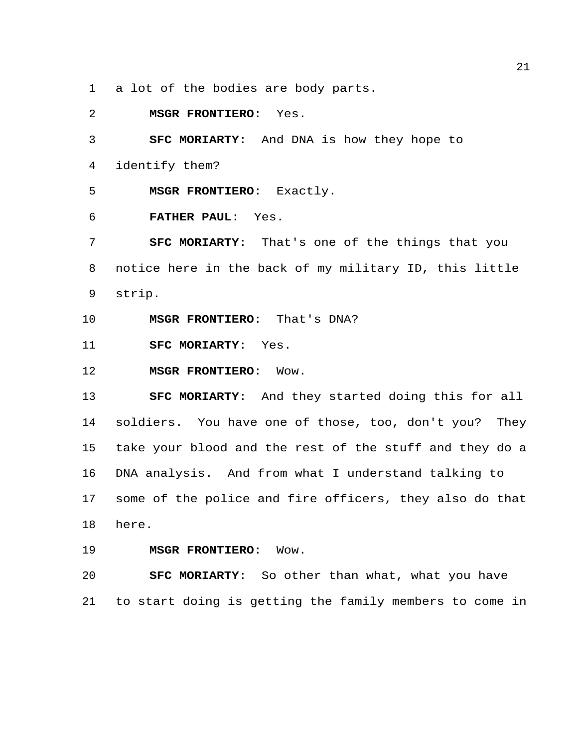a lot of the bodies are body parts.

**MSGR FRONTIERO**: Yes.

 **SFC MORIARTY**: And DNA is how they hope to identify them? **MSGR FRONTIERO**: Exactly.

**FATHER PAUL**: Yes.

 **SFC MORIARTY**: That's one of the things that you notice here in the back of my military ID, this little strip.

**MSGR FRONTIERO**: That's DNA?

**SFC MORIARTY**: Yes.

**MSGR FRONTIERO**: Wow.

 **SFC MORIARTY**: And they started doing this for all soldiers. You have one of those, too, don't you? They take your blood and the rest of the stuff and they do a DNA analysis. And from what I understand talking to some of the police and fire officers, they also do that here.

**MSGR FRONTIERO**: Wow.

 **SFC MORIARTY**: So other than what, what you have to start doing is getting the family members to come in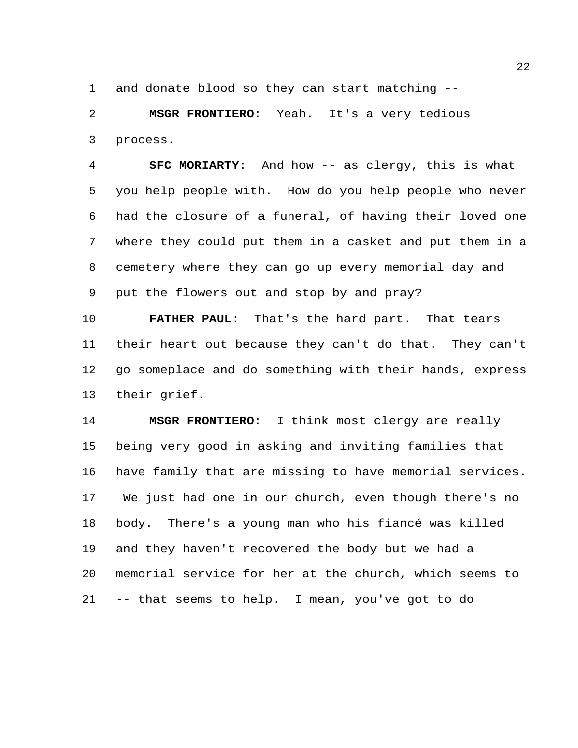and donate blood so they can start matching --

 **MSGR FRONTIERO**: Yeah. It's a very tedious process.

 **SFC MORIARTY**: And how -- as clergy, this is what you help people with. How do you help people who never had the closure of a funeral, of having their loved one where they could put them in a casket and put them in a cemetery where they can go up every memorial day and put the flowers out and stop by and pray?

 **FATHER PAUL**: That's the hard part. That tears their heart out because they can't do that. They can't go someplace and do something with their hands, express their grief.

 **MSGR FRONTIERO**: I think most clergy are really being very good in asking and inviting families that have family that are missing to have memorial services. We just had one in our church, even though there's no body. There's a young man who his fiancé was killed and they haven't recovered the body but we had a memorial service for her at the church, which seems to -- that seems to help. I mean, you've got to do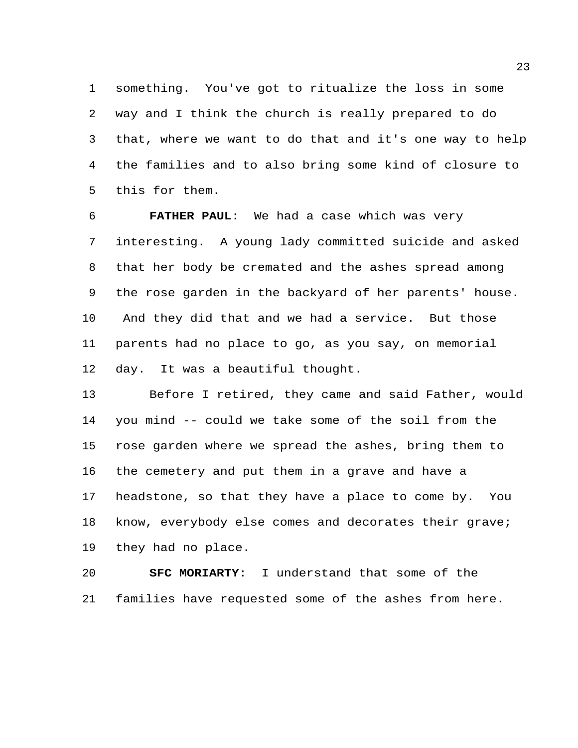something. You've got to ritualize the loss in some way and I think the church is really prepared to do that, where we want to do that and it's one way to help the families and to also bring some kind of closure to this for them.

 **FATHER PAUL**: We had a case which was very interesting. A young lady committed suicide and asked that her body be cremated and the ashes spread among the rose garden in the backyard of her parents' house. And they did that and we had a service. But those parents had no place to go, as you say, on memorial day. It was a beautiful thought.

 Before I retired, they came and said Father, would you mind -- could we take some of the soil from the rose garden where we spread the ashes, bring them to the cemetery and put them in a grave and have a headstone, so that they have a place to come by. You know, everybody else comes and decorates their grave; they had no place.

 **SFC MORIARTY**: I understand that some of the families have requested some of the ashes from here.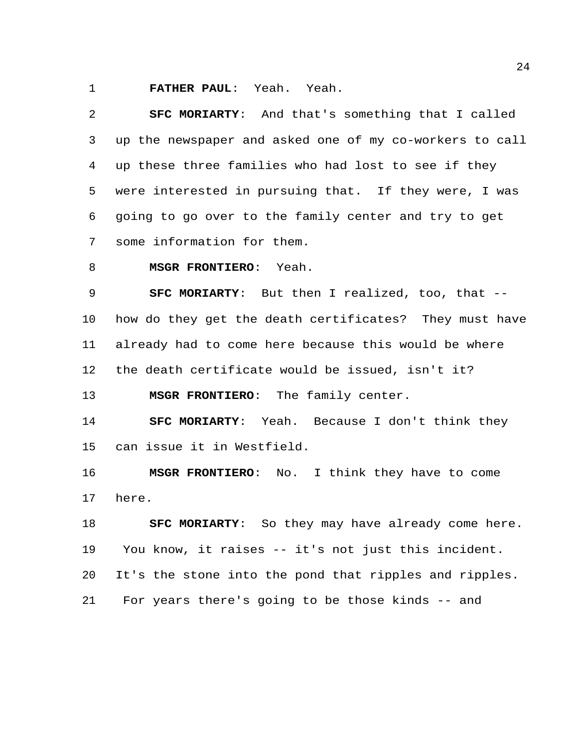**FATHER PAUL**: Yeah. Yeah.

 **SFC MORIARTY**: And that's something that I called up the newspaper and asked one of my co-workers to call up these three families who had lost to see if they were interested in pursuing that. If they were, I was going to go over to the family center and try to get some information for them.

**MSGR FRONTIERO**: Yeah.

 **SFC MORIARTY**: But then I realized, too, that -- how do they get the death certificates? They must have already had to come here because this would be where the death certificate would be issued, isn't it?

**MSGR FRONTIERO**: The family center.

 **SFC MORIARTY**: Yeah. Because I don't think they can issue it in Westfield.

 **MSGR FRONTIERO**: No. I think they have to come here.

 **SFC MORIARTY**: So they may have already come here. You know, it raises -- it's not just this incident. It's the stone into the pond that ripples and ripples. For years there's going to be those kinds -- and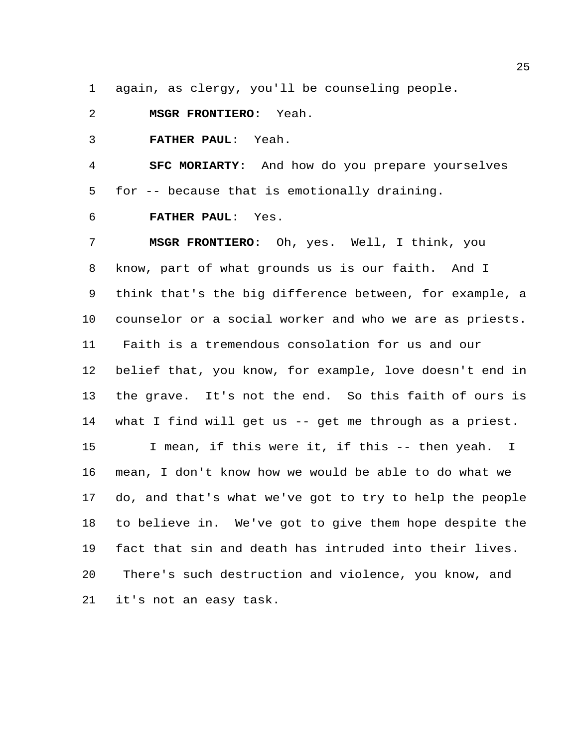again, as clergy, you'll be counseling people.

**MSGR FRONTIERO**: Yeah.

**FATHER PAUL**: Yeah.

 **SFC MORIARTY**: And how do you prepare yourselves for -- because that is emotionally draining.

**FATHER PAUL**: Yes.

 **MSGR FRONTIERO**: Oh, yes. Well, I think, you know, part of what grounds us is our faith. And I think that's the big difference between, for example, a counselor or a social worker and who we are as priests. Faith is a tremendous consolation for us and our belief that, you know, for example, love doesn't end in the grave. It's not the end. So this faith of ours is what I find will get us -- get me through as a priest. I mean, if this were it, if this -- then yeah. I mean, I don't know how we would be able to do what we do, and that's what we've got to try to help the people to believe in. We've got to give them hope despite the fact that sin and death has intruded into their lives. There's such destruction and violence, you know, and it's not an easy task.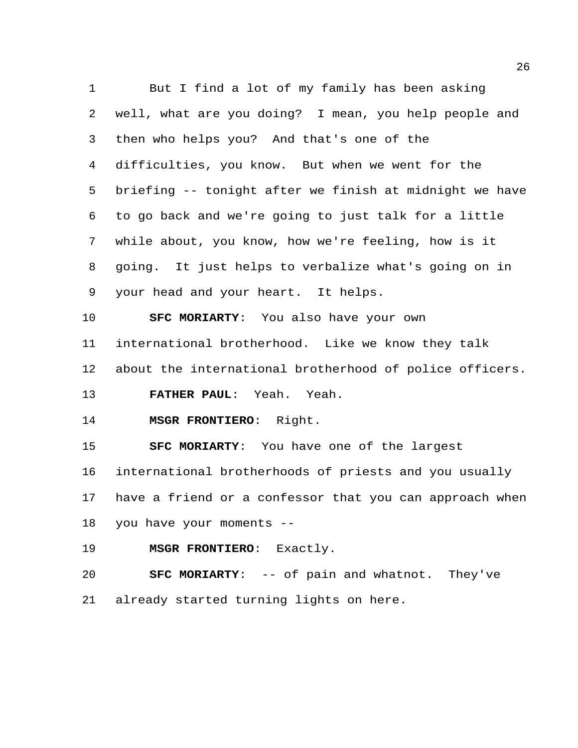But I find a lot of my family has been asking well, what are you doing? I mean, you help people and then who helps you? And that's one of the difficulties, you know. But when we went for the briefing -- tonight after we finish at midnight we have to go back and we're going to just talk for a little while about, you know, how we're feeling, how is it going. It just helps to verbalize what's going on in your head and your heart. It helps. **SFC MORIARTY**: You also have your own international brotherhood. Like we know they talk about the international brotherhood of police officers. **FATHER PAUL**: Yeah. Yeah. **MSGR FRONTIERO**: Right. **SFC MORIARTY**: You have one of the largest international brotherhoods of priests and you usually have a friend or a confessor that you can approach when you have your moments -- **MSGR FRONTIERO**: Exactly. **SFC MORIARTY**: -- of pain and whatnot. They've

already started turning lights on here.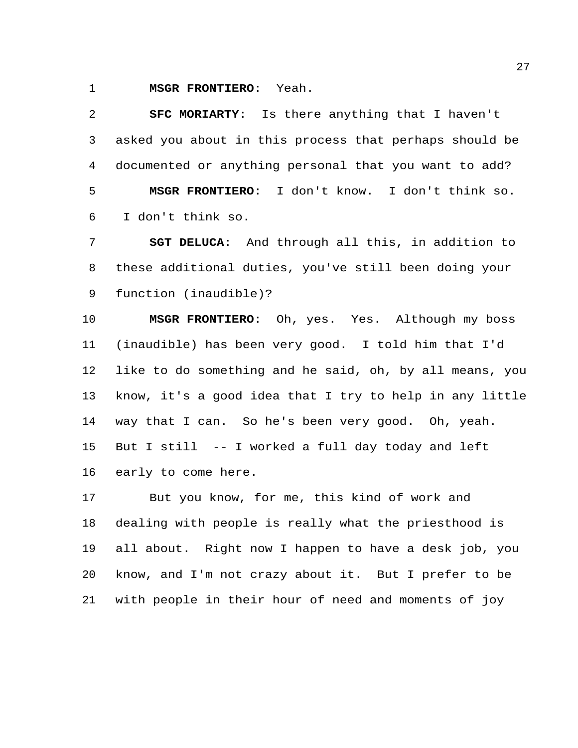**MSGR FRONTIERO**: Yeah.

 **SFC MORIARTY**: Is there anything that I haven't asked you about in this process that perhaps should be documented or anything personal that you want to add? **MSGR FRONTIERO**: I don't know. I don't think so. I don't think so.

 **SGT DELUCA**: And through all this, in addition to these additional duties, you've still been doing your function (inaudible)?

 **MSGR FRONTIERO**: Oh, yes. Yes. Although my boss (inaudible) has been very good. I told him that I'd like to do something and he said, oh, by all means, you know, it's a good idea that I try to help in any little way that I can. So he's been very good. Oh, yeah. But I still -- I worked a full day today and left early to come here.

 But you know, for me, this kind of work and dealing with people is really what the priesthood is all about. Right now I happen to have a desk job, you know, and I'm not crazy about it. But I prefer to be with people in their hour of need and moments of joy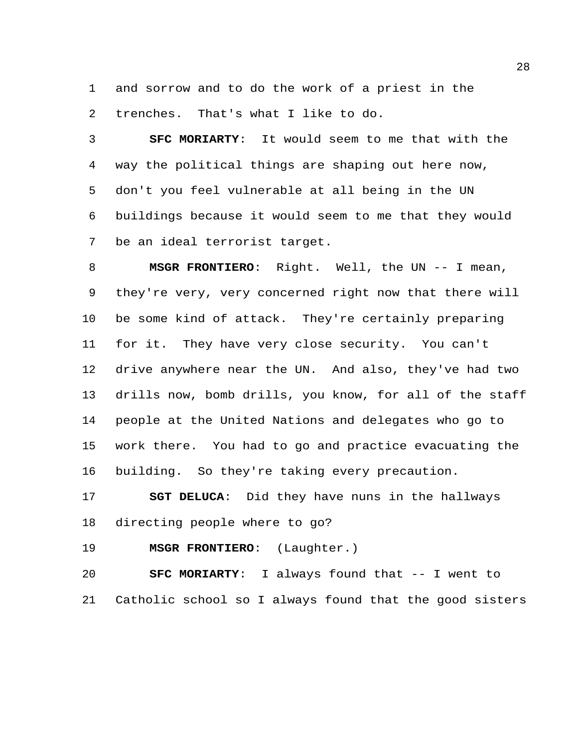and sorrow and to do the work of a priest in the trenches. That's what I like to do.

 **SFC MORIARTY**: It would seem to me that with the way the political things are shaping out here now, don't you feel vulnerable at all being in the UN buildings because it would seem to me that they would be an ideal terrorist target.

 **MSGR FRONTIERO**: Right. Well, the UN -- I mean, they're very, very concerned right now that there will be some kind of attack. They're certainly preparing for it. They have very close security. You can't drive anywhere near the UN. And also, they've had two drills now, bomb drills, you know, for all of the staff people at the United Nations and delegates who go to work there. You had to go and practice evacuating the building. So they're taking every precaution.

 **SGT DELUCA**: Did they have nuns in the hallways directing people where to go?

**MSGR FRONTIERO**: (Laughter.)

 **SFC MORIARTY**: I always found that -- I went to Catholic school so I always found that the good sisters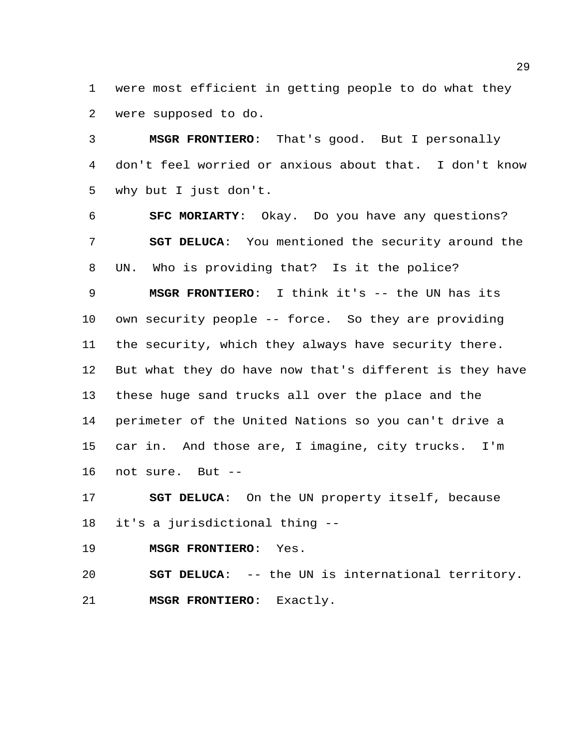were most efficient in getting people to do what they were supposed to do.

 **MSGR FRONTIERO**: That's good. But I personally don't feel worried or anxious about that. I don't know why but I just don't.

 **SFC MORIARTY**: Okay. Do you have any questions? **SGT DELUCA**: You mentioned the security around the UN. Who is providing that? Is it the police? **MSGR FRONTIERO**: I think it's -- the UN has its own security people -- force. So they are providing

the security, which they always have security there.

 But what they do have now that's different is they have these huge sand trucks all over the place and the perimeter of the United Nations so you can't drive a car in. And those are, I imagine, city trucks. I'm not sure. But --

 **SGT DELUCA**: On the UN property itself, because it's a jurisdictional thing --

**MSGR FRONTIERO**: Yes.

 **SGT DELUCA**: -- the UN is international territory. **MSGR FRONTIERO**: Exactly.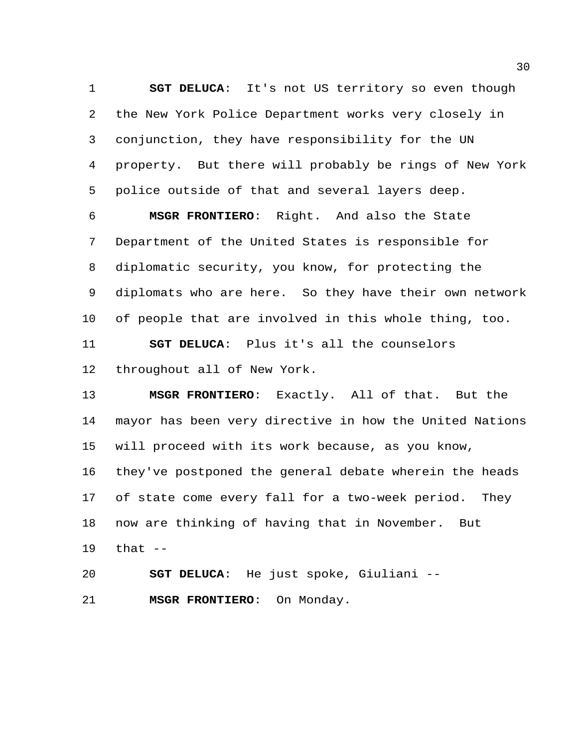**SGT DELUCA**: It's not US territory so even though the New York Police Department works very closely in conjunction, they have responsibility for the UN property. But there will probably be rings of New York police outside of that and several layers deep.

 **MSGR FRONTIERO**: Right. And also the State Department of the United States is responsible for diplomatic security, you know, for protecting the diplomats who are here. So they have their own network of people that are involved in this whole thing, too. **SGT DELUCA**: Plus it's all the counselors throughout all of New York.

 **MSGR FRONTIERO**: Exactly. All of that. But the mayor has been very directive in how the United Nations will proceed with its work because, as you know, they've postponed the general debate wherein the heads of state come every fall for a two-week period. They now are thinking of having that in November. But that --

**SGT DELUCA**: He just spoke, Giuliani --

**MSGR FRONTIERO**: On Monday.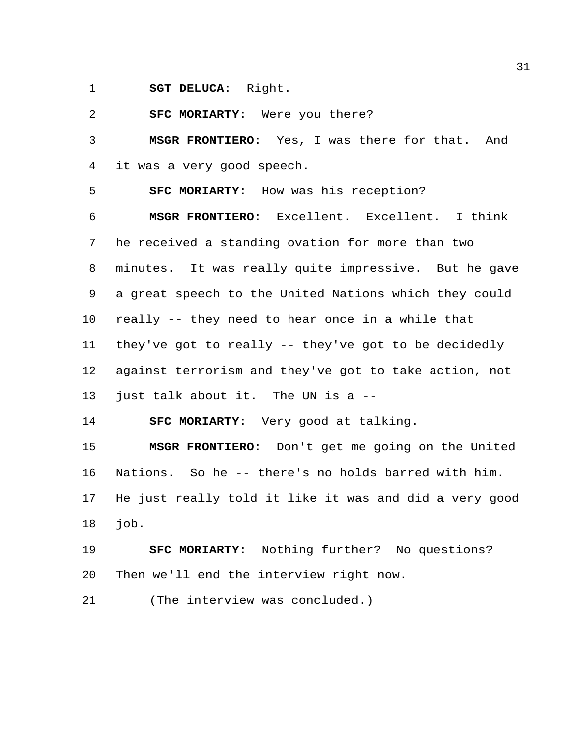**SGT DELUCA**: Right.

**SFC MORIARTY**: Were you there?

 **MSGR FRONTIERO**: Yes, I was there for that. And it was a very good speech.

**SFC MORIARTY**: How was his reception?

 **MSGR FRONTIERO**: Excellent. Excellent. I think he received a standing ovation for more than two minutes. It was really quite impressive. But he gave a great speech to the United Nations which they could really -- they need to hear once in a while that they've got to really -- they've got to be decidedly against terrorism and they've got to take action, not just talk about it. The UN is a --

**SFC MORIARTY**: Very good at talking.

 **MSGR FRONTIERO**: Don't get me going on the United Nations. So he -- there's no holds barred with him. He just really told it like it was and did a very good job.

 **SFC MORIARTY**: Nothing further? No questions? Then we'll end the interview right now.

(The interview was concluded.)